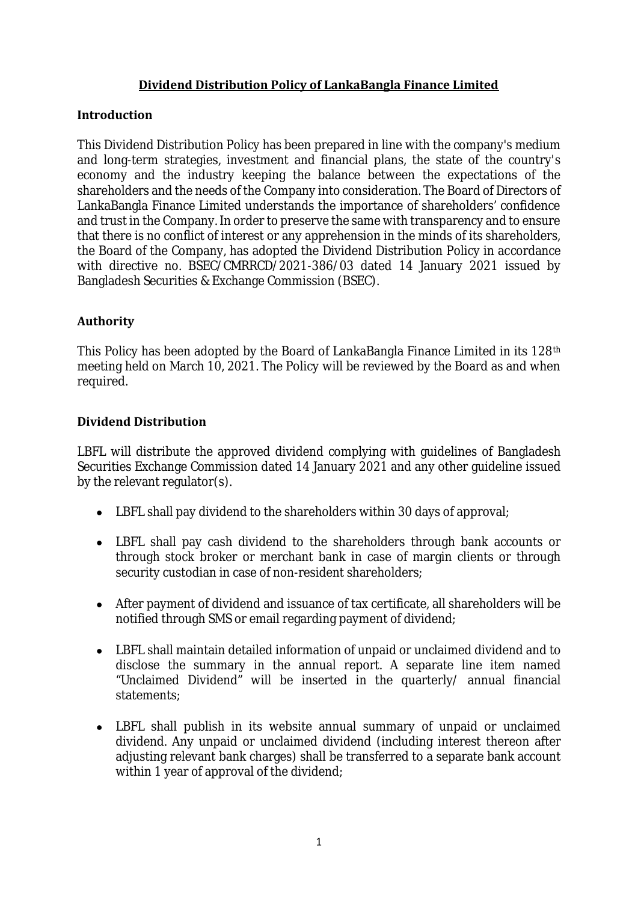# **Dividend Distribution Policy of LankaBangla Finance Limited**

## **Introduction**

This Dividend Distribution Policy has been prepared in line with the company's medium and long-term strategies, investment and financial plans, the state of the country's economy and the industry keeping the balance between the expectations of the shareholders and the needs of the Company into consideration. The Board of Directors of LankaBangla Finance Limited understands the importance of shareholders' confidence and trust in the Company. In order to preserve the same with transparency and to ensure that there is no conflict of interest or any apprehension in the minds of its shareholders, the Board of the Company, has adopted the Dividend Distribution Policy in accordance with directive no. BSEC/CMRRCD/2021-386/03 dated 14 January 2021 issued by Bangladesh Securities & Exchange Commission (BSEC).

### **Authority**

This Policy has been adopted by the Board of LankaBangla Finance Limited in its 128th meeting held on March 10, 2021. The Policy will be reviewed by the Board as and when required.

### **Dividend Distribution**

LBFL will distribute the approved dividend complying with guidelines of Bangladesh Securities Exchange Commission dated 14 January 2021 and any other guideline issued by the relevant regulator(s).

- LBFL shall pay dividend to the shareholders within 30 days of approval;
- LBFL shall pay cash dividend to the shareholders through bank accounts or through stock broker or merchant bank in case of margin clients or through security custodian in case of non-resident shareholders;
- After payment of dividend and issuance of tax certificate, all shareholders will be notified through SMS or email regarding payment of dividend;
- LBFL shall maintain detailed information of unpaid or unclaimed dividend and to disclose the summary in the annual report. A separate line item named "Unclaimed Dividend" will be inserted in the quarterly/ annual financial statements;
- LBFL shall publish in its website annual summary of unpaid or unclaimed dividend. Any unpaid or unclaimed dividend (including interest thereon after adjusting relevant bank charges) shall be transferred to a separate bank account within 1 year of approval of the dividend;